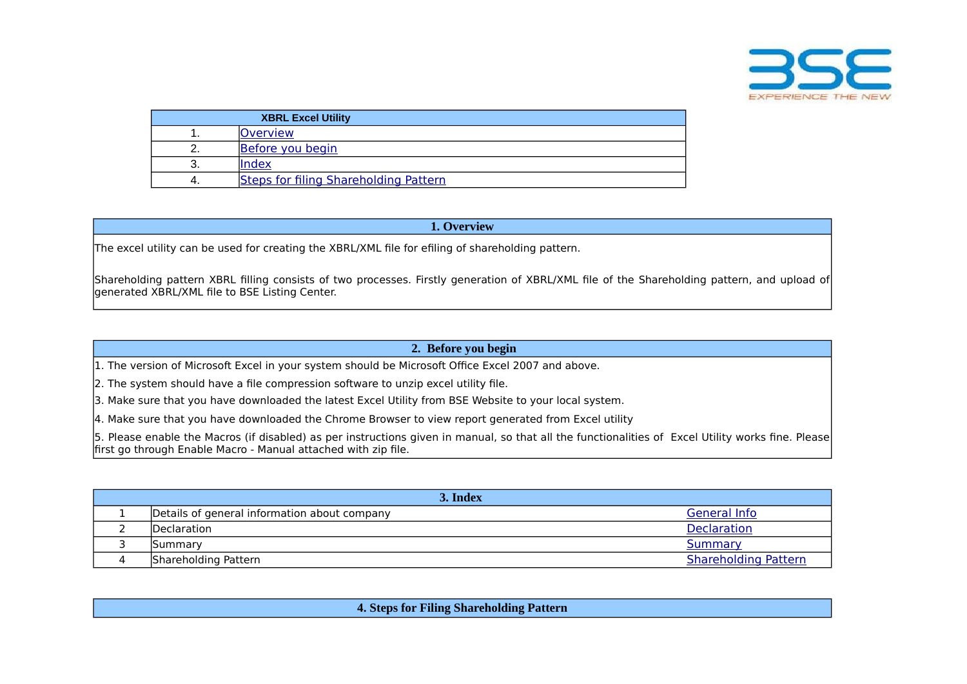

|    | <b>XBRL Excel Utility</b>             |
|----|---------------------------------------|
|    | <b>Overview</b>                       |
|    | Before you begin                      |
| J. | Index                                 |
| 4. | Steps for filing Shareholding Pattern |

## **1. Overview**

<span id="page-0-0"></span>The excel utility can be used for creating the XBRL/XML file for efiling of shareholding pattern.

Shareholding pattern XBRL filling consists of two processes. Firstly generation of XBRL/XML file of the Shareholding pattern, and upload of generated XBRL/XML file to BSE Listing Center.

## **2. Before you begin**

<span id="page-0-1"></span>1. The version of Microsoft Excel in your system should be Microsoft Office Excel 2007 and above.

2. The system should have a file compression software to unzip excel utility file.

3. Make sure that you have downloaded the latest Excel Utility from BSE Website to your local system.

4. Make sure that you have downloaded the Chrome Browser to view report generated from Excel utility

5. Please enable the Macros (if disabled) as per instructions given in manual, so that all the functionalities of Excel Utility works fine. Please first go through Enable Macro - Manual attached with zip file.

<span id="page-0-3"></span><span id="page-0-2"></span>

| 3. Index                                     |                             |
|----------------------------------------------|-----------------------------|
| Details of general information about company | General Info                |
| <b>IDeclaration</b>                          | <b>Declaration</b>          |
| <b>Summary</b>                               | Summary                     |
| Shareholding Pattern                         | <b>Shareholding Pattern</b> |

**4. Steps for Filing Shareholding Pattern**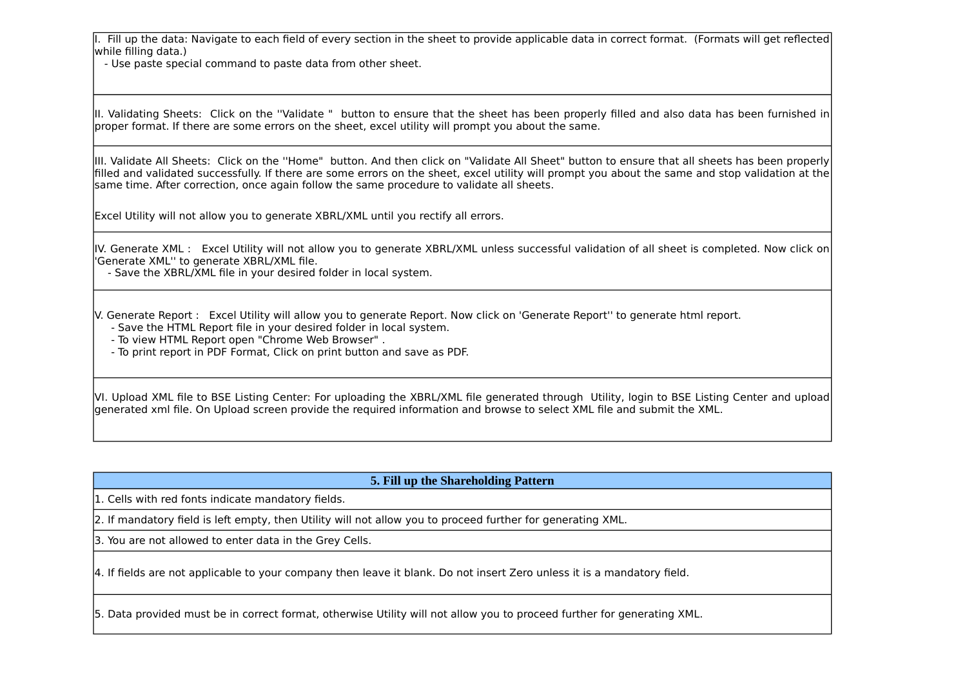I. Fill up the data: Navigate to each field of every section in the sheet to provide applicable data in correct format. (Formats will get reflected while filling data.)

- Use paste special command to paste data from other sheet.

II. Validating Sheets: Click on the ''Validate " button to ensure that the sheet has been properly filled and also data has been furnished in proper format. If there are some errors on the sheet, excel utility will prompt you about the same.

III. Validate All Sheets: Click on the ''Home" button. And then click on "Validate All Sheet" button to ensure that all sheets has been properly filled and validated successfully. If there are some errors on the sheet, excel utility will prompt you about the same and stop validation at the same time. After correction, once again follow the same procedure to validate all sheets.

Excel Utility will not allow you to generate XBRL/XML until you rectify all errors.

IV. Generate XML : Excel Utility will not allow you to generate XBRL/XML unless successful validation of all sheet is completed. Now click on 'Generate XML'' to generate XBRL/XML file.

- Save the XBRL/XML file in your desired folder in local system.

V. Generate Report : Excel Utility will allow you to generate Report. Now click on 'Generate Report'' to generate html report.

- Save the HTML Report file in your desired folder in local system.

- To view HTML Report open "Chrome Web Browser" .

- To print report in PDF Format, Click on print button and save as PDF.

VI. Upload XML file to BSE Listing Center: For uploading the XBRL/XML file generated through Utility, login to BSE Listing Center and upload generated xml file. On Upload screen provide the required information and browse to select XML file and submit the XML.

# **5. Fill up the Shareholding Pattern**

1. Cells with red fonts indicate mandatory fields.

2. If mandatory field is left empty, then Utility will not allow you to proceed further for generating XML.

3. You are not allowed to enter data in the Grey Cells.

4. If fields are not applicable to your company then leave it blank. Do not insert Zero unless it is a mandatory field.

5. Data provided must be in correct format, otherwise Utility will not allow you to proceed further for generating XML.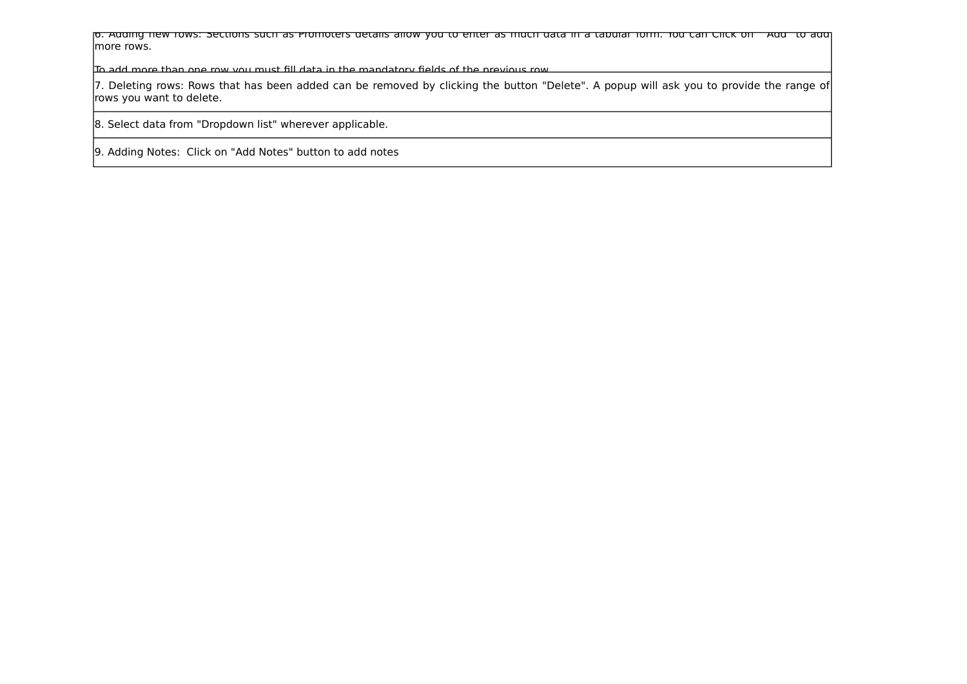6. Adding new rows: Sections such as Promoters details allow you to enter as much data in a tabular form. You can Click on "Add" to add more rows.

To add more than one row you must fill data in the mandatory fields of the previous row.

7. Deleting rows: Rows that has been added can be removed by clicking the button "Delete". A popup will ask you to provide the range of rows you want to delete.

8. Select data from "Dropdown list" wherever applicable.

9. Adding Notes: Click on "Add Notes" button to add notes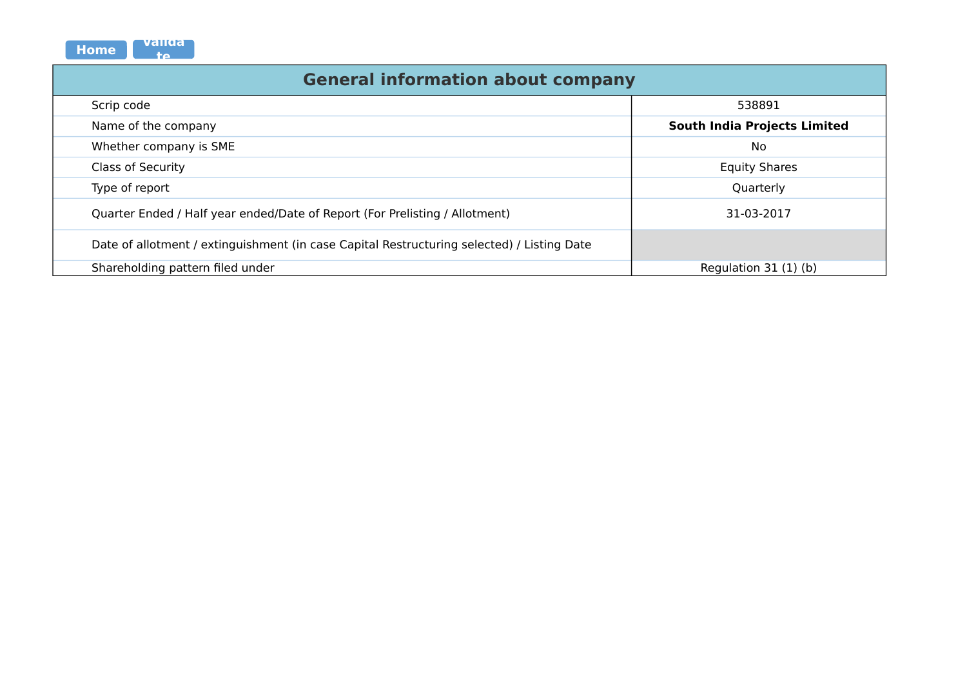<span id="page-3-0"></span>

| validal<br><b>Home</b><br>tΔ.                                                              |                                     |
|--------------------------------------------------------------------------------------------|-------------------------------------|
| <b>General information about company</b>                                                   |                                     |
| Scrip code                                                                                 | 538891                              |
| Name of the company                                                                        | <b>South India Projects Limited</b> |
| Whether company is SME                                                                     | No                                  |
| <b>Class of Security</b>                                                                   | <b>Equity Shares</b>                |
| Type of report                                                                             | Quarterly                           |
| Quarter Ended / Half year ended/Date of Report (For Prelisting / Allotment)                | 31-03-2017                          |
| Date of allotment / extinguishment (in case Capital Restructuring selected) / Listing Date |                                     |
| Shareholding pattern filed under                                                           | Regulation 31 (1) (b)               |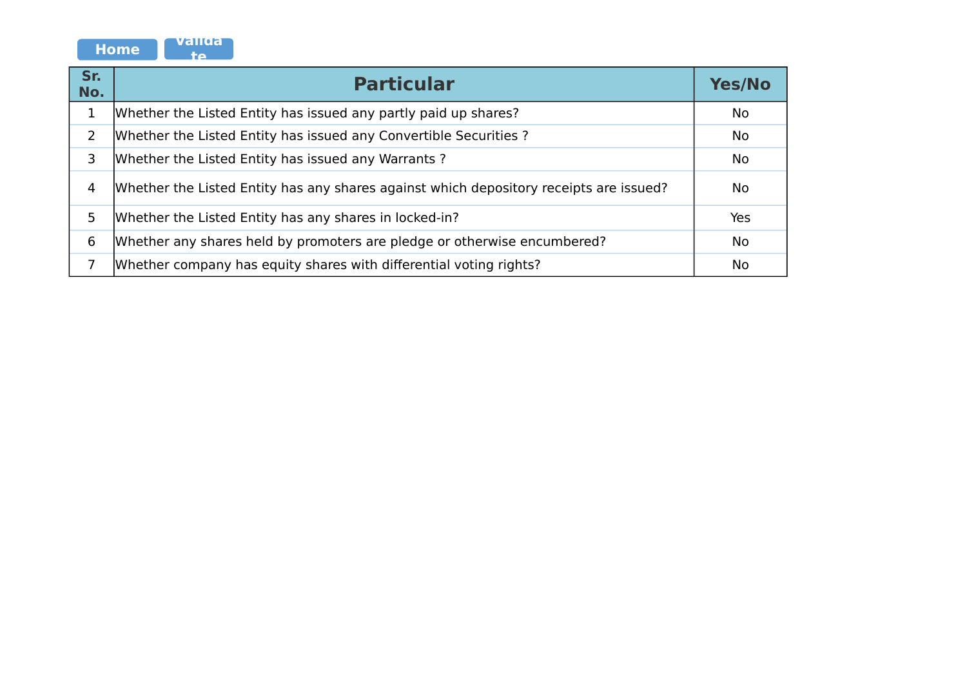

<span id="page-4-0"></span>

| Sr.<br>No.     | <b>Particular</b>                                                                      | <b>Yes/No</b> |
|----------------|----------------------------------------------------------------------------------------|---------------|
| 1              | Whether the Listed Entity has issued any partly paid up shares?                        | No            |
| $\overline{2}$ | Whether the Listed Entity has issued any Convertible Securities?                       | No            |
| 3              | Whether the Listed Entity has issued any Warrants?                                     | No            |
| 4              | Whether the Listed Entity has any shares against which depository receipts are issued? | No            |
| 5              | Whether the Listed Entity has any shares in locked-in?                                 | Yes           |
| 6              | Whether any shares held by promoters are pledge or otherwise encumbered?               | <b>No</b>     |
|                | Whether company has equity shares with differential voting rights?                     | <b>No</b>     |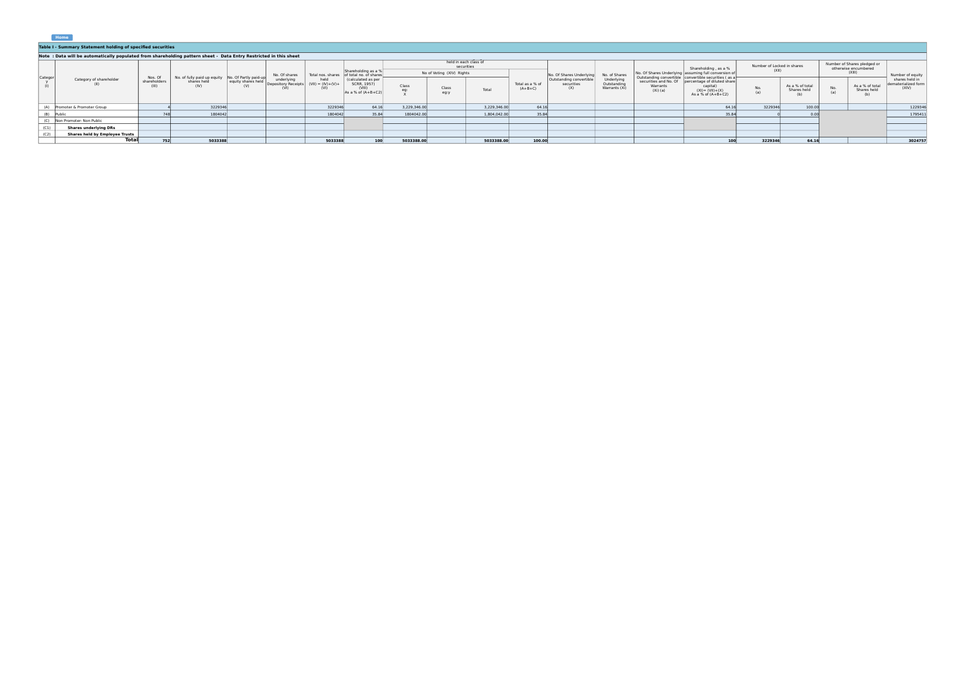<span id="page-5-0"></span>

|         | Home                                                                                                             |                                  |                                                                          |                           |                                   |                                     |                                                                     |              |                                                                  |              |                              |                                              |                                            |                                                 |                                                                                                                                                 |                                     |                                |                                                           |                                                               |                                                |
|---------|------------------------------------------------------------------------------------------------------------------|----------------------------------|--------------------------------------------------------------------------|---------------------------|-----------------------------------|-------------------------------------|---------------------------------------------------------------------|--------------|------------------------------------------------------------------|--------------|------------------------------|----------------------------------------------|--------------------------------------------|-------------------------------------------------|-------------------------------------------------------------------------------------------------------------------------------------------------|-------------------------------------|--------------------------------|-----------------------------------------------------------|---------------------------------------------------------------|------------------------------------------------|
|         | Table I - Summary Statement holding of specified securities                                                      |                                  |                                                                          |                           |                                   |                                     |                                                                     |              |                                                                  |              |                              |                                              |                                            |                                                 |                                                                                                                                                 |                                     |                                |                                                           |                                                               |                                                |
|         | Note: Data will be automatically populated from shareholding pattern sheet - Data Entry Restricted in this sheet |                                  |                                                                          |                           |                                   |                                     |                                                                     |              |                                                                  |              |                              |                                              |                                            |                                                 |                                                                                                                                                 |                                     |                                |                                                           |                                                               |                                                |
|         |                                                                                                                  |                                  |                                                                          |                           | No. Of shares                     | Total nos, shares                   | Shareholding as a %<br>of total no. of shares'                      |              | held in each class of<br>securities<br>No of Voting (XIV) Rights |              | No. Of Shares Underlying     |                                              | No. of Shares                              |                                                 | Shareholding, as a %<br>No. Of Shares Underlying assuming full conversion of                                                                    | Number of Locked in shares<br>(X  ) |                                |                                                           | Number of Shares pledged or<br>otherwise encumbered<br>(XIII) | Number of equity                               |
| Categor | Category of shareholder                                                                                          | Nos. Of<br>shareholders<br>(III) | No. of fully paid up equity No. Of Partly paid-up<br>shares held<br>(IV) | equity shares held<br>(V) | underlying<br>Depository Receipts | held<br>$(VII) = (IV)+(V)+$<br>(VI) | (calculated as per<br>SCRR, 1957)<br>(VIII)<br>As a % of $(A+B+C2)$ | Class        | Class<br>eg:y                                                    | Total        | Total as a % of<br>$(A+B+C)$ | Outstanding convertible<br>securities<br>(X) | Underlying<br>Outstanding<br>Warrants (Xi) | securities and No. Of<br>Warrants<br>$(Xi)$ (a) | Outstanding convertible convertible securities (as a<br>percentage of diluted share<br>capital)<br>$(XI) = (VII) + (X)$<br>As a % of $(A+B+C2)$ | $N_0$ .<br>(a)                      | As a % of total<br>Shares held | As a % of total<br>$\frac{No}{(a)}$<br>Shares held<br>(b) |                                                               | shares held in<br>dematerialized form<br>(XIV) |
|         | (A) Promoter & Promoter Group                                                                                    |                                  | 3229346                                                                  |                           |                                   | 3229346                             | 64.16                                                               | 3.229.346.00 |                                                                  | 3.229.346.00 | 64.16                        |                                              |                                            |                                                 | 64.16                                                                                                                                           | 3229346                             | 100.00                         |                                                           |                                                               | 1229346                                        |
|         | (B) Public                                                                                                       |                                  | 1804042                                                                  |                           |                                   | 1804042                             | 35.84                                                               | 1804042.00   |                                                                  | 1,804,042.00 | 35.84                        |                                              |                                            |                                                 | 35.84                                                                                                                                           |                                     | n nnl                          |                                                           |                                                               | 1795411                                        |
|         | (C) Non Promoter- Non Public                                                                                     |                                  |                                                                          |                           |                                   |                                     |                                                                     |              |                                                                  |              |                              |                                              |                                            |                                                 |                                                                                                                                                 |                                     |                                |                                                           |                                                               |                                                |
| (C1)    | <b>Shares underlying DRs</b>                                                                                     |                                  |                                                                          |                           |                                   |                                     |                                                                     |              |                                                                  |              |                              |                                              |                                            |                                                 |                                                                                                                                                 |                                     |                                |                                                           |                                                               |                                                |
| (C2)    | <b>Shares held by Employee Trusts</b>                                                                            |                                  |                                                                          |                           |                                   |                                     |                                                                     |              |                                                                  |              |                              |                                              |                                            |                                                 |                                                                                                                                                 |                                     |                                |                                                           |                                                               |                                                |
|         | <b>Total</b>                                                                                                     | 752                              | 5033388                                                                  |                           |                                   | 5033388                             | 100                                                                 | 5033388.00   |                                                                  | 5033388.00   | 100.00                       |                                              |                                            |                                                 | 100                                                                                                                                             | 3229346                             | 64.16                          |                                                           |                                                               | 3024757                                        |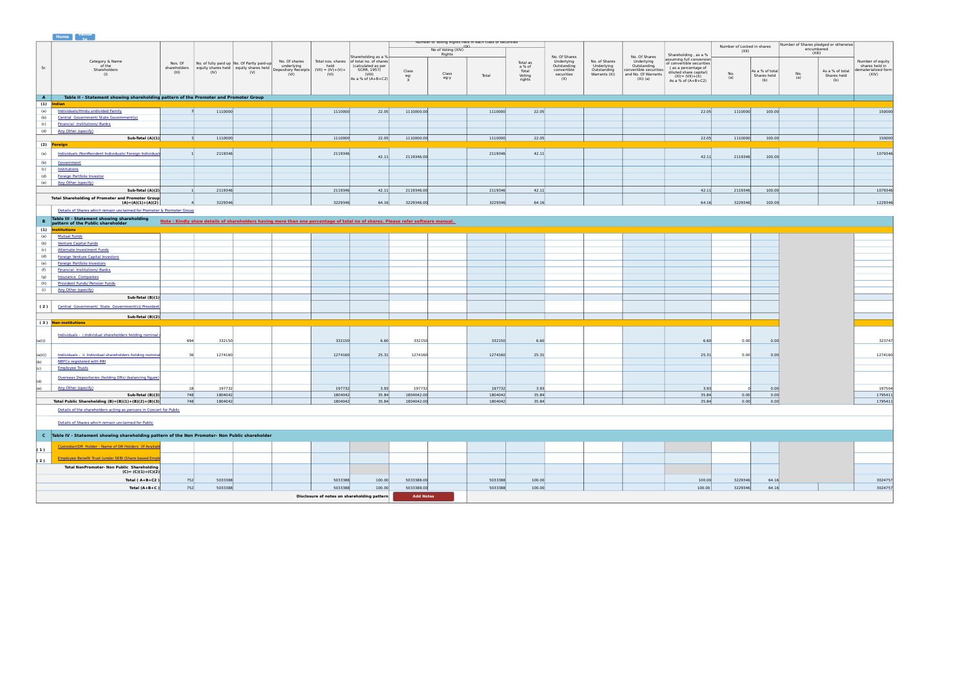#### <span id="page-6-2"></span><span id="page-6-1"></span><span id="page-6-0"></span>Sr. Total **A Table II - Statement showing shareholding pattern of the Promoter and Promoter Group (1) Indian** (a) <u>[Individuals/Hindu undivided Family](#page-7-0)</u> (a) 3 1110000 11110000 22.05 1110000.00 11110000 22.05 1110000 22.05 1110000 100.00 100.00 100.00 100.00 100.00 100.00 100.00 100.00 100.00 100.00 100.00 100.00 100.00 100.00 100.00  $\frac{1}{(b)}$  $\sqrt{c}$ (d) [Any Other \(specify\)](#page-7-0) **Sub-Total (A)(1)** 3] 1110000 | 1 1110000 22.05 1110000.00 | 1110000.00 22.05 | | 22.05 22.05 1110000 100.00 100.00 100.00 | 150000 **(2) Foreign** (a) <mark>[Individuals \(NonResident Individuals/ Foreign Individuals](#page-8-0)</mark> 1 2119346 2119346 2119346 2119346 42.11 2119346.00 2119346 42.11 100.00 2119346 100.00 1079346  $\overline{(\mathbf{b})}$  $\frac{10}{c}$ (d) (e) [Any Other \(specify\)](file:///home/jj/web/exceltopdf/sites/default/files/doc/) **Sub-Total (A)(2)** 1 2119346 2119346 42.11 2119346.00 2119346 42.11 42.11 2119346 100.00 1079346 4 3229346 | | 3229346 64.16| 3229346.00| | 3229346 64.16| | | | 64.16| 3229346| 100.00| | | 1229346 **B Note in Solutions Show details of shareholders having more than one percentage of total no of shares. Please refer software manual.<br>
(1) <b>Institutions**<br>
(1) **Institutions** (a)  $f(x)$  $(c)$  $(d)$  $(a)$  $(f)$  $\overline{(q)}$ (h) (i) [Any Other \(specify\)](file:///home/jj/web/exceltopdf/sites/default/files/doc/) **Sub-Total (B)(1) ( 2 ) Sub-Total (B)(2) ( 3 ) Non-institutions** (a(i)) | 694 332150 532150 6.60 532150 6.60 323747 323747 (a0) <mark>District District District District District District District District District District District District District District District District District District District District District District District District </mark> (b)  $(c)$ (d) (e) 1900-Cherispeciny (e) 18 197732 197732 3.93 197732 3.93 197732 197732 3.93 197732 3.93 19790 19790 197904 3.93 0 0.00 197504 **Sub-Total (B)(3)** 748 1804042 1804042 35.84 1804042.00 1804042 35.84 35.84 0.00 0.00 1795411 Total Public Shareholding (B)=(B)(1)+(B)(2)+(B)(3) 748 1804042 1804042 1804042 35.84 1804042.00 1804042.00 1804042 35.84 1804042.00 1795411<br>Total Public Shareholding (B)=(B)(1)+(B)(2)+(B)(3) 748 1804042 1804042 1804042 35 **C Table IV - Statement showing shareholding pattern of the Non Promoter- Non Public shareholder ( 1 ) ( 2 ) Total ( A+B+C2 )** 752 5033388 5033388 100.00 5033388.00 5033388 100.00 100.00 3229346 64.16 3024757 Category & Name of the Shareholders (I) Nos. Of Mo. of fully paid up No. Of Partly paid-up<br>shareholders equity shares held equity shares held<br>(III) (IV) (V) No. Of shares underlying Depository Receipts (VI) Total nos. shares held (VII) = (IV)+(V)+ (VI) Shareholding as a % of total no. of shares (calculated as per SCRR, 1957) (VIII) As a % of (A+B+C2) Number of Voting Rights held in each class of securities (IX) No of Voting (XIV) Rights No. Of Shares Underlying Outstanding convertible securities (X) No. of Shares Underlying Outstanding Warrants (Xi) No. Of Shares Underlying Outstanding convertible securities convertible securities (Xi) (a) Shareholding , as a % assuming full conversion of convertible securities ( as a percentage of diluted share capital) (XI)= (VII)+(X) As a % of  $(A+B+C2)$ Number of Locked in shares (XII) Number of Shares pledged or otherwise encumbered (XIII) Number of equity shares held in dematerialized form (XIV) Total as a % of Total Voting rights Class eg: X Class eg:y No. (a) As a % of total Shares held (b) No. (a) As a % of total Shares held (b) [Government](file:///home/jj/web/exceltopdf/sites/default/files/doc/) [Institutions](file:///home/jj/web/exceltopdf/sites/default/files/doc/) [Foreign Portfolio Investor](file:///home/jj/web/exceltopdf/sites/default/files/doc/) **Total Shareholding of Promoter and Promoter Group (A)=(A)(1)+(A)(2)**  [Details of Shares which remain unclaimed for Promoter & Promoter Group](file:///home/jj/web/exceltopdf/sites/default/files/doc/) **Table III - Statement showing shareholding pattern of the Public shareholder** [Mutual Funds](file:///home/jj/web/exceltopdf/sites/default/files/doc/) [Venture Capital Funds](file:///home/jj/web/exceltopdf/sites/default/files/doc/) [Alternate Investment Funds](file:///home/jj/web/exceltopdf/sites/default/files/doc/) [Foreign Venture Capital Investors](file:///home/jj/web/exceltopdf/sites/default/files/doc/) [Foreign Portfolio Investors](file:///home/jj/web/exceltopdf/sites/default/files/doc/) [Financial Institutions/ Banks](file:///home/jj/web/exceltopdf/sites/default/files/doc/) [Insurance Companies](file:///home/jj/web/exceltopdf/sites/default/files/doc/) [Provident Funds/ Pension Funds](file:///home/jj/web/exceltopdf/sites/default/files/doc/) Central Government/ State Government(s)/ President <u>[Individuals - i.Individual shareholders holding nominal s](file:///home/jj/web/exceltopdf/sites/default/files/doc/)hare capital up to Real up to</u> Rs. 232150<br>694 [Employee Trusts](file:///home/jj/web/exceltopdf/sites/default/files/doc/) [Overseas Depositories \(holding DRs\) \(balancing figure\)](file:///home/jj/web/exceltopdf/sites/default/files/doc/) [Any Other \(specify\)](#page-10-0) [Details of the shareholders acting as persons in Concert for Public](file:///home/jj/web/exceltopdf/sites/default/files/doc/) [Details of Shares which remain unclaimed for Public](file:///home/jj/web/exceltopdf/sites/default/files/doc/) [Custodian/DR Holder - Name of DR Holders \(If Available](file:///home/jj/web/exceltopdf/sites/default/files/doc/)) [Employee Benefit Trust \(under SEBI \(Share based Emplo](file:///home/jj/web/exceltopdf/sites/default/files/doc/)yee Benefit Trust (under SEBI) **Total NonPromoter- Non Public Shareholding (C)= (C)(1)+(C)(2) Home Valida te**

**Disclosure of notes on shareholding pattern**

**Add Notes**

<span id="page-6-4"></span><span id="page-6-3"></span>**Total (A+B+C )** 752 5033388 5033388 100.00 5033388.00 5033388 100.00 100.00 3229346 64.16 3024757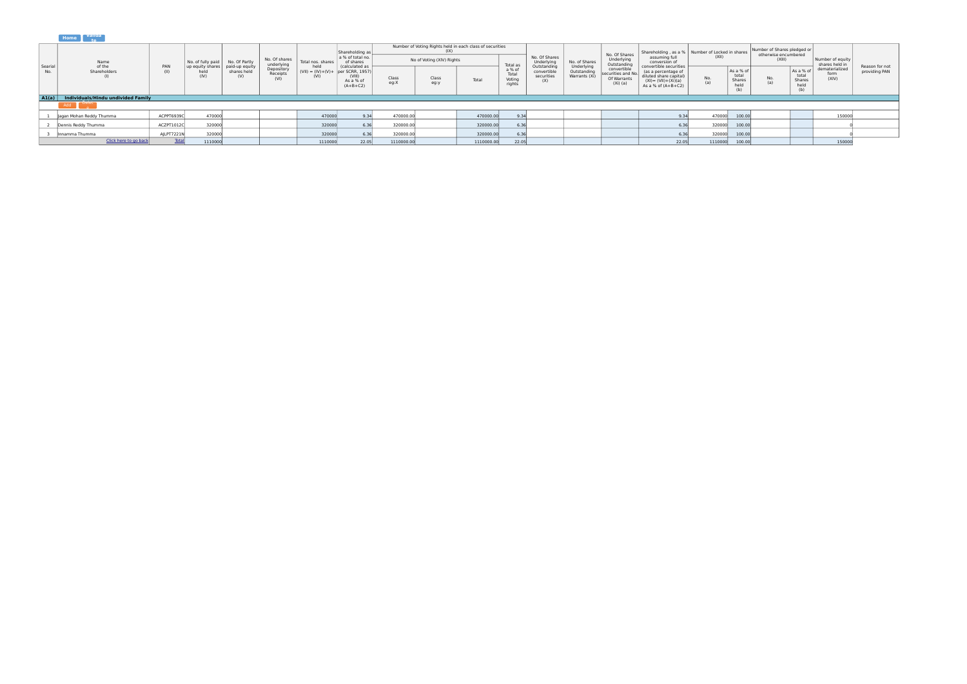<span id="page-7-0"></span>

|                |                                          |              |                                  |                                      |                             |                                                     | Shareholding as                                     |               |                           | Number of Voting Rights held in each class of securities |                                     |                                                 |                                            | No. Of Shares                                                 | Shareholding, as a %   Number of Locked in shares                                                |            |                                      | Number of Shares pledged or<br>otherwise encumbered |                                          |                                    |                                 |
|----------------|------------------------------------------|--------------|----------------------------------|--------------------------------------|-----------------------------|-----------------------------------------------------|-----------------------------------------------------|---------------|---------------------------|----------------------------------------------------------|-------------------------------------|-------------------------------------------------|--------------------------------------------|---------------------------------------------------------------|--------------------------------------------------------------------------------------------------|------------|--------------------------------------|-----------------------------------------------------|------------------------------------------|------------------------------------|---------------------------------|
|                | Name                                     |              | No. of fully paid                | No. Of Partly                        | No. Of shares<br>underlying | Total nos. shares                                   | a % of total no.<br>of shares                       |               | No of Voting (XIV) Rights |                                                          | Total as                            | No. Of Shares<br>Underlying                     | No. of Shares                              | Underlying<br>Outstanding                                     | assuming ful<br>conversion o<br>convertible securities                                           | (XII)      |                                      | (XIII)                                              |                                          | Number of equity<br>shares held in |                                 |
| Searial<br>No. | of the<br>Shareholders                   | PAN          | up equity shares<br>held<br>(IV) | paid-up equity<br>shares held<br>(V) | Depository<br>Receipts      | held<br>$(VII) = (IV)+(V)+$ per SCRR, 1957)<br>(VI) | (calculated as<br>(VIII)<br>As a % o'<br>$(A+B+C2)$ | Class<br>eq:X | Class<br>eg:y             | Total                                                    | a % of<br>Total<br>Voting<br>rights | Outstanding<br>convertible<br>securities<br>(X) | Underlying<br>Outstanding<br>Warrants (Xi) | convertible<br>securities and No<br>Of Warrants<br>$(Xi)$ (a) | (as a percentage o<br>diluted share capital)<br>$(XI) = (VII) + (Xi)(a)$<br>As a % of $(A+B+C2)$ | No.<br>(a) | As a % of<br>total<br>Shares<br>held | No.<br>(a)                                          | As a %<br>total<br>Shares<br>held<br>(b) | dematerialized<br>form<br>(XIV)    | Reason for not<br>providing PAN |
|                | A1(a) Individuals/Hindu undivided Family |              |                                  |                                      |                             |                                                     |                                                     |               |                           |                                                          |                                     |                                                 |                                            |                                                               |                                                                                                  |            |                                      |                                                     |                                          |                                    |                                 |
|                | Add                                      |              |                                  |                                      |                             |                                                     |                                                     |               |                           |                                                          |                                     |                                                 |                                            |                                                               |                                                                                                  |            |                                      |                                                     |                                          |                                    |                                 |
|                | Jagan Mohan Reddy Thumma                 | ACPPT6939C   | 470000                           |                                      |                             | 470000                                              |                                                     | 470000.00     |                           | 470000.00                                                |                                     |                                                 |                                            |                                                               |                                                                                                  | 470000     | 100.00                               |                                                     |                                          | 150000                             |                                 |
|                | Dennis Reddy Thumma                      | ACZPT1012C   | 320000                           |                                      |                             | 320000                                              | 6.36                                                | 320000.00     |                           | 320000.00                                                |                                     |                                                 |                                            |                                                               |                                                                                                  | 320000     | 100.00                               |                                                     |                                          |                                    |                                 |
|                | Innamma Thumma                           | AJLPT7221N   | 320000                           |                                      |                             | 320000                                              | 6.36                                                | 320000.00     |                           | 320000.00                                                | 6.36                                |                                                 |                                            |                                                               |                                                                                                  | 320000     | 100.00                               |                                                     |                                          |                                    |                                 |
|                | Click here to go back                    | <b>Total</b> | 1110000                          |                                      |                             | 1110000                                             | 22.05                                               | 1110000.00    |                           | 1110000.00                                               | 22.05                               |                                                 |                                            |                                                               | 22.05                                                                                            | 1110000    | 100.00                               |                                                     |                                          | 150000                             |                                 |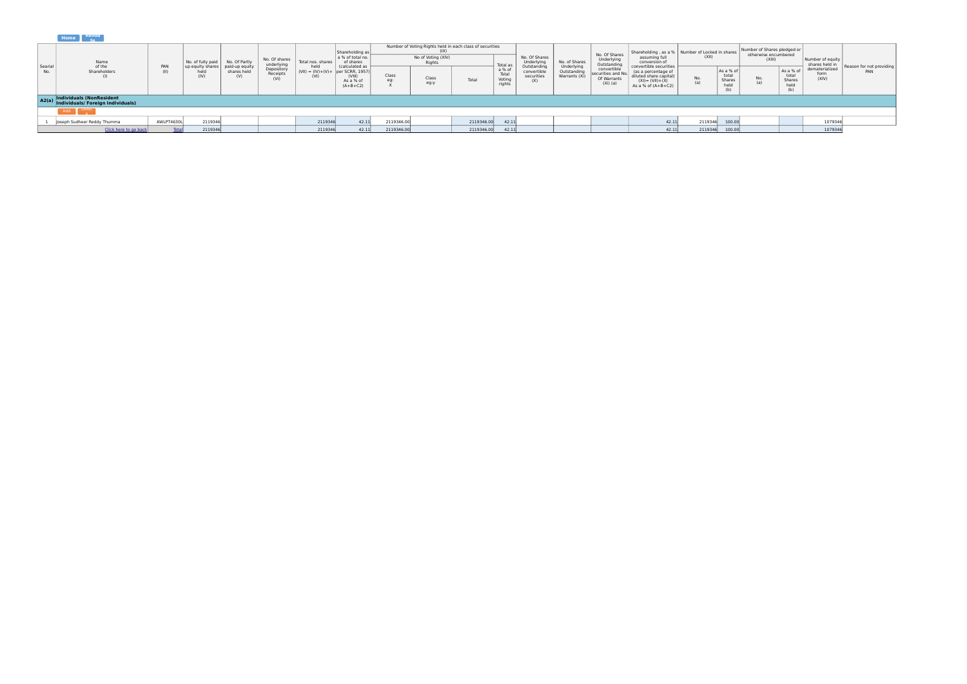<span id="page-8-0"></span>

|               | _______                                                             |             |                                  |                                      |                                                                               |                   |                                                     |                        |                                                                                                 |            |                                     |                                                |                              |                                                                |                                                                                                                       |                                                            |                                            |                                                               |                                             |                                    |                                 |
|---------------|---------------------------------------------------------------------|-------------|----------------------------------|--------------------------------------|-------------------------------------------------------------------------------|-------------------|-----------------------------------------------------|------------------------|-------------------------------------------------------------------------------------------------|------------|-------------------------------------|------------------------------------------------|------------------------------|----------------------------------------------------------------|-----------------------------------------------------------------------------------------------------------------------|------------------------------------------------------------|--------------------------------------------|---------------------------------------------------------------|---------------------------------------------|------------------------------------|---------------------------------|
|               | Name                                                                |             | No. of fully paid                | No. Of Partly                        | No. Of shares<br>underlying                                                   | Total nos. shares | Shareholding as<br>a % of total no.<br>of shares    |                        | Number of Voting Rights held in each class of securities<br>(1)<br>No of Voting (XIV)<br>Rights |            | Total a                             | No. Of Shares<br>Underlying                    | No. of Shares<br>Underlying  | No. Of Shares<br>Underlying<br>Outstanding                     | assuming full<br>conversion of                                                                                        | Shareholding, as a %   Number of Locked in shares<br>(XII) |                                            | Number of Shares pledged or<br>otherwise encumbered<br>(XIII) |                                             | Number of equity<br>shares held in |                                 |
| Searia<br>No. | of the<br>Shareholders                                              | PAN<br>(II) | up equity shares<br>held<br>(IV) | paid-up equity<br>shares held<br>(V) | held<br>Depository<br>Receipts<br>$(VII) = (IV)+(V)+$ per SCRR, 1957)<br>(VI) |                   | (calculated as<br>(VIII)<br>As a % of<br>$(A+B+C2)$ | Class<br>Class<br>eg:y |                                                                                                 | Total      | a % of<br>Total<br>Votino<br>rights | Outstandin<br>convertible<br>securities<br>(X) | Outstanding<br>Warrants (Xi) | convertible<br>securities and No.<br>Of Warrants<br>$(Xi)$ (a) | convertible securities<br>(as a percentage of<br>diluted share capital)<br>$(XI) = (VII)+(X)$<br>As a % of $(A+B+C2)$ | No.<br>(a)                                                 | As a % o<br>total<br>Shares<br>held<br>(b) | No.                                                           | As a % of<br>total<br>Shares<br>held<br>(b) | dematerialized<br>form<br>(X V)    | Reason for not providing<br>PAN |
|               | A2(a) Individuals (NonResident<br>Individuals/ Foreign Individuals) |             |                                  |                                      |                                                                               |                   |                                                     |                        |                                                                                                 |            |                                     |                                                |                              |                                                                |                                                                                                                       |                                                            |                                            |                                                               |                                             |                                    |                                 |
|               | Add<br><b>College</b>                                               |             |                                  |                                      |                                                                               |                   |                                                     |                        |                                                                                                 |            |                                     |                                                |                              |                                                                |                                                                                                                       |                                                            |                                            |                                                               |                                             |                                    |                                 |
|               | oseph Sudheer Reddy Thumma                                          | AWLPT4630L  | 2119346                          |                                      |                                                                               | 2119346           | 42.11                                               | 2119346.00             |                                                                                                 | 2119346.00 | 42.11                               |                                                |                              |                                                                | 42.11                                                                                                                 | 2119346                                                    | 100.00                                     |                                                               |                                             | 1079346                            |                                 |
|               | Click here to go back                                               | Total       | 2119346                          |                                      |                                                                               | 2119346           | 42.11                                               | 2119346.00             |                                                                                                 | 2119346.00 | 42.11                               |                                                |                              |                                                                | 42.11                                                                                                                 | 2119346                                                    | 100.00                                     |                                                               |                                             | 1079346                            |                                 |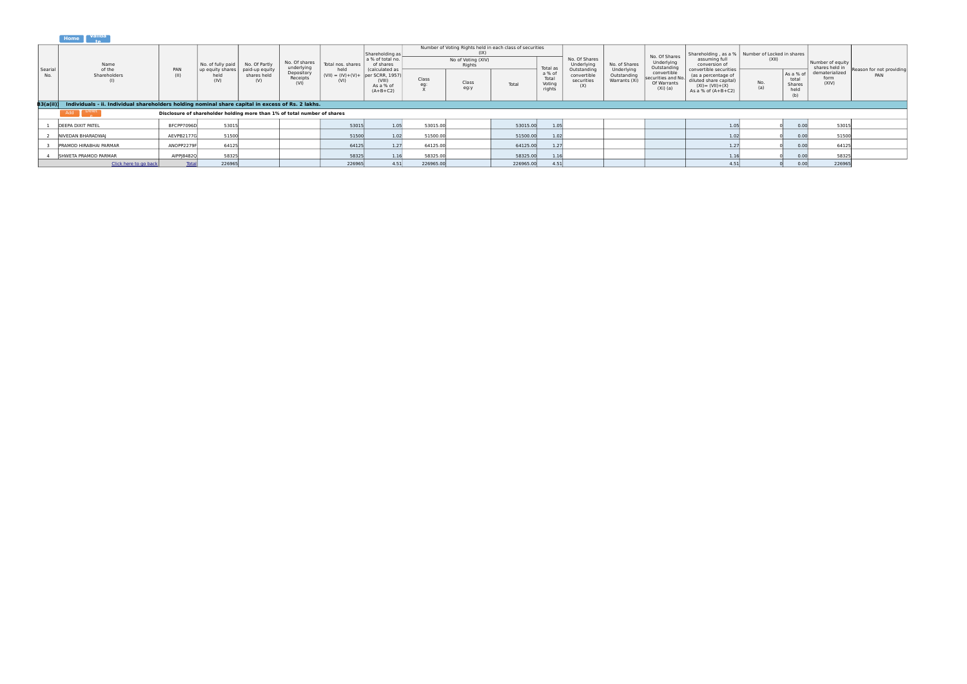<span id="page-9-0"></span>

|                 | _______                                                                                           |              |                                                                          |                                      |                                |                                                     |                                                     |              |                              |                                                          |                                     |                                                 |                                            |                                                                |                                                                                                                         |                  |                                             |                                    |                                 |
|-----------------|---------------------------------------------------------------------------------------------------|--------------|--------------------------------------------------------------------------|--------------------------------------|--------------------------------|-----------------------------------------------------|-----------------------------------------------------|--------------|------------------------------|----------------------------------------------------------|-------------------------------------|-------------------------------------------------|--------------------------------------------|----------------------------------------------------------------|-------------------------------------------------------------------------------------------------------------------------|------------------|---------------------------------------------|------------------------------------|---------------------------------|
|                 |                                                                                                   |              |                                                                          |                                      | No. Of shares<br>underlying    |                                                     | Shareholding as                                     |              |                              | Number of Voting Rights held in each class of securities |                                     |                                                 |                                            | No. Of Shares                                                  | Shareholding, as a %   Number of Locked in shares                                                                       |                  |                                             |                                    |                                 |
|                 | Name                                                                                              |              | No. of fully paid                                                        | No. Of Partly                        |                                | Total nos, shares                                   | a % of total no.<br>of shares                       |              | No of Voting (XIV)<br>Rights |                                                          | Total as                            | No. Of Shares<br>Underlying                     | No. of Shares                              | Underlying<br>Outstanding                                      | assuming full<br>conversion of                                                                                          | (XII)            |                                             | Number of equity<br>shares held in |                                 |
| Searia<br>No.   | of the<br>Shareholders                                                                            | PAN<br>(11)  | up equity shares<br>held<br>(IV)                                         | paid-up equity<br>shares held<br>(V) | Depository<br>Receipts<br>(VI) | held<br>$(VII) = (IV)+(V)+$ per SCRR, 1957)<br>(VI) | (calculated as<br>(VIII)<br>As a % of<br>$(A+B+C2)$ | Class<br>eq: | Class<br>eg:y                | Total                                                    | a % of<br>Total<br>Voting<br>rights | Outstanding<br>convertible<br>securities<br>(X) | Underlying<br>Outstanding<br>Warrants (Xi) | convertible<br>securities and No.<br>Of Warrants<br>$(Xi)$ (a) | convertible securities<br>(as a percentage of<br>diluted share capital)<br>$(XI) = (VII) + (X)$<br>As a % of $(A+B+C2)$ | $\frac{No}{(a)}$ | As a % of<br>total<br>Shares<br>held<br>(b) | dematerialized<br>form<br>(XIV)    | Reason for not providing<br>PAN |
| <b>B3(a(il)</b> | Individuals - ii. Individual shareholders holding nominal share capital in excess of Rs. 2 lakhs. |              |                                                                          |                                      |                                |                                                     |                                                     |              |                              |                                                          |                                     |                                                 |                                            |                                                                |                                                                                                                         |                  |                                             |                                    |                                 |
|                 |                                                                                                   |              | Disclosure of shareholder holding more than 1% of total number of shares |                                      |                                |                                                     |                                                     |              |                              |                                                          |                                     |                                                 |                                            |                                                                |                                                                                                                         |                  |                                             |                                    |                                 |
|                 | <b>DEEPA DIXIT PATEL</b>                                                                          | BFCPP7096D   | 53015                                                                    |                                      |                                | 53015                                               | 1.05                                                | 53015.00     |                              | 53015.00                                                 | 1.05                                |                                                 |                                            |                                                                | 1.05                                                                                                                    |                  | 0.00                                        | 53015                              |                                 |
|                 | NIVEDAN BHARADWAI                                                                                 | AEVPB2177G   | 51500                                                                    |                                      |                                | 51500                                               | 1.02                                                | 51500.00     |                              | 51500.00                                                 | 1.02                                |                                                 |                                            |                                                                |                                                                                                                         |                  | 0.00                                        | 51500                              |                                 |
|                 | PRAMOD HIRARHAI PARMAR                                                                            | ANOPP2279F   | 64125                                                                    |                                      |                                | 64125                                               | 1.27                                                | 64125.00     |                              | 64125.00                                                 | 1.27                                |                                                 |                                            |                                                                | 1.27                                                                                                                    |                  | 0.00                                        | 64125                              |                                 |
|                 | SHWETA PRAMOD PARMAR                                                                              | AIPP 8482Q   | 58325                                                                    |                                      |                                | 58325                                               | 1.16                                                | 58325.00     |                              | 58325.00                                                 |                                     |                                                 |                                            |                                                                |                                                                                                                         |                  | 0.00                                        | 58325                              |                                 |
|                 | Click here to go back                                                                             | <b>Total</b> | 226965                                                                   |                                      |                                | 226965                                              | 4.51                                                | 226965.00    |                              | 226965.00                                                | 4.51                                |                                                 |                                            |                                                                | 4.51                                                                                                                    |                  | 0.00                                        | 226965                             |                                 |